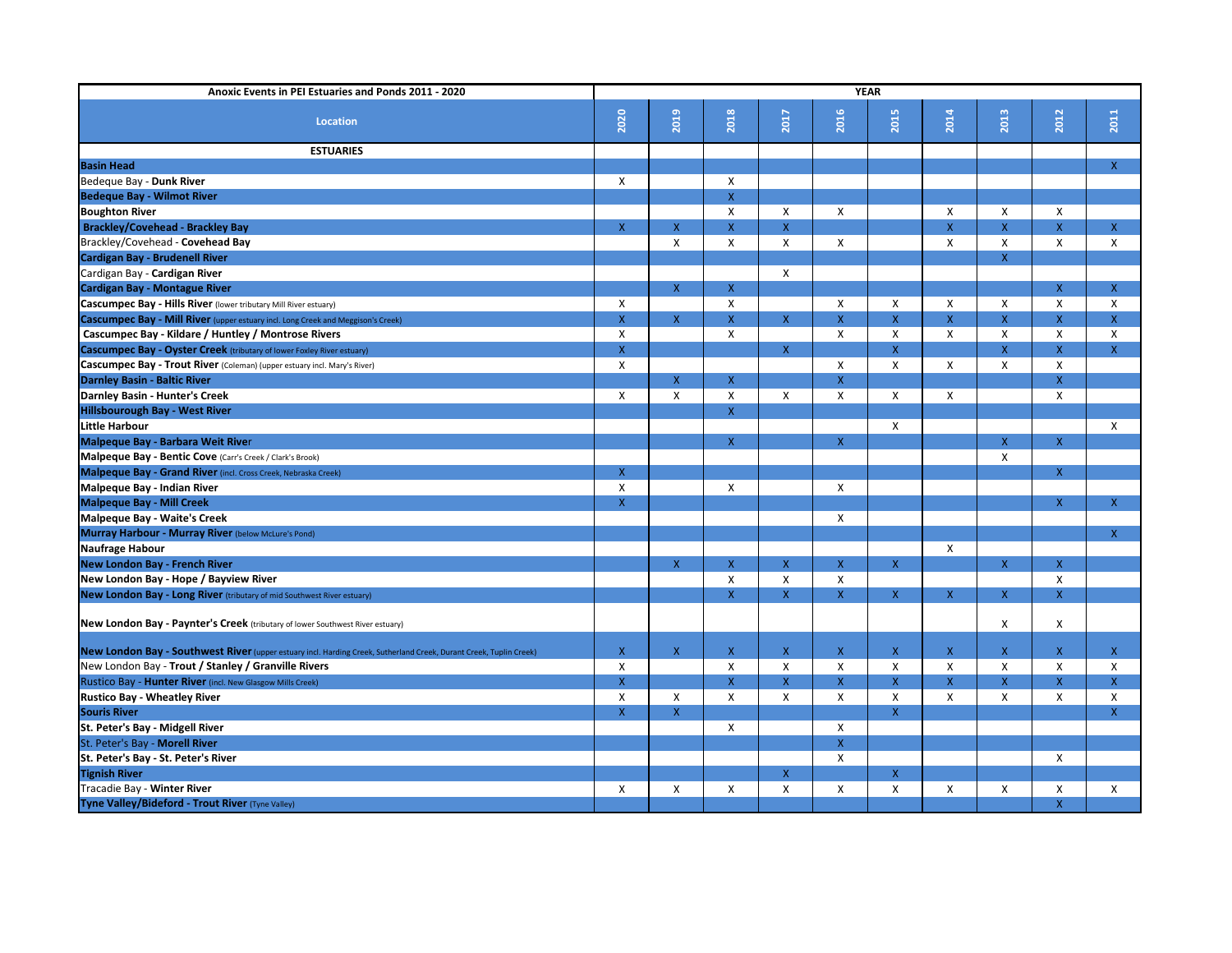| Anoxic Events in PEI Estuaries and Ponds 2011 - 2020                                                               | <b>YEAR</b>        |                                        |                                        |                           |                           |                           |                |                    |              |                           |
|--------------------------------------------------------------------------------------------------------------------|--------------------|----------------------------------------|----------------------------------------|---------------------------|---------------------------|---------------------------|----------------|--------------------|--------------|---------------------------|
| <b>Location</b>                                                                                                    | 2020               | 2019                                   | 2018                                   | <b>Z017</b>               | 2016                      | <b>2015</b>               | 2014           | 2013               | 2012         | 2011                      |
|                                                                                                                    |                    |                                        |                                        |                           |                           |                           |                |                    |              |                           |
| <b>ESTUARIES</b>                                                                                                   |                    |                                        |                                        |                           |                           |                           |                |                    |              |                           |
| <b>Basin Head</b>                                                                                                  |                    |                                        |                                        |                           |                           |                           |                |                    |              | $\mathsf{X}$              |
| Bedeque Bay - Dunk River                                                                                           | X                  |                                        | $\mathsf{X}$                           |                           |                           |                           |                |                    |              |                           |
| <b>Bedeque Bay - Wilmot River</b>                                                                                  |                    |                                        | $\mathsf{X}$                           |                           |                           |                           |                |                    |              |                           |
| <b>Boughton River</b>                                                                                              |                    |                                        | $\mathsf{X}$                           | X                         | X                         |                           | X              | X                  | $\sf X$      |                           |
| <b>Brackley/Covehead - Brackley Bay</b>                                                                            | $\mathsf{X}$       | $\mathsf X$                            | $\mathsf{X}^-$                         | $\mathsf{X}$              |                           |                           | $\mathsf{X}$   | $\mathsf{X}$       | $\mathsf{X}$ | $\mathsf{X}$              |
| Brackley/Covehead - Covehead Bay                                                                                   |                    | Χ                                      | $\mathsf{X}$                           | $\boldsymbol{\mathsf{X}}$ | $\pmb{\mathsf{X}}$        |                           | X              | X                  | X            | X                         |
| <b>Cardigan Bay - Brudenell River</b>                                                                              |                    |                                        |                                        |                           |                           |                           |                | $\mathsf{X}$       |              |                           |
| Cardigan Bay - Cardigan River                                                                                      |                    |                                        |                                        | X                         |                           |                           |                |                    |              |                           |
| <b>Cardigan Bay - Montague River</b>                                                                               |                    | $\mathsf X$                            | $\mathsf{X}$                           |                           |                           |                           |                |                    | $\mathsf{X}$ | $\mathsf{X}$              |
| Cascumpec Bay - Hills River (lower tributary Mill River estuary)                                                   | X                  |                                        | X                                      |                           | X                         | $\mathsf{X}$              | X              | X                  | X            | X                         |
| <b>Cascumpec Bay - Mill River</b> (upper estuary incl. Long Creek and Meggison's Creek)                            | $\pmb{\mathsf{X}}$ | $\mathsf{X}^{\scriptscriptstyle \top}$ | X.                                     | $\mathsf{X}$              | $\overline{\mathsf{X}}$   | $\mathsf{X}$              | $\overline{X}$ | $\mathsf{X}$       | $\mathsf{X}$ | $\mathsf{X}$              |
| <b>Cascumpec Bay - Kildare / Huntley / Montrose Rivers</b>                                                         | X                  |                                        | $\mathsf{X}$                           |                           | $\boldsymbol{\mathsf{X}}$ | $\boldsymbol{\mathsf{X}}$ | X              | X                  | X            | $\pmb{\mathsf{X}}$        |
| <b>Cascumpec Bay - Oyster Creek</b> (tributary of lower Foxley River estuary)                                      | $\mathsf{X}$       |                                        |                                        | $\mathsf{X}$              |                           | $\mathsf{X}$              |                | $\mathsf{X}$       | $\mathsf{X}$ | $\mathsf{X}$              |
| Cascumpec Bay - Trout River (Coleman) (upper estuary incl. Mary's River)                                           | X                  |                                        |                                        |                           | X                         | $\boldsymbol{\mathsf{X}}$ | X              | X                  | X            |                           |
| <b>Darnley Basin - Baltic River</b>                                                                                |                    | $\mathsf X$                            | $\mathsf{X}^+$                         |                           | $\overline{\mathsf{X}}$   |                           |                |                    | $\mathsf{X}$ |                           |
| <b>Darnley Basin - Hunter's Creek</b>                                                                              | $\mathsf{X}$       | $\pmb{\mathsf{X}}$                     | $\pmb{\mathsf{X}}$                     | $\boldsymbol{\mathsf{X}}$ | X                         | $\mathsf{X}$              | X              |                    | $\mathsf{X}$ |                           |
| <b>Hillsbourough Bay - West River</b>                                                                              |                    |                                        | X                                      |                           |                           |                           |                |                    |              |                           |
| <b>Little Harbour</b>                                                                                              |                    |                                        |                                        |                           |                           | $\mathsf{X}$              |                |                    |              | $\mathsf{X}$              |
| Malpeque Bay - Barbara Weit River                                                                                  |                    |                                        | X                                      |                           | $\pmb{\mathsf{X}}$        |                           |                | $\mathsf{X}$       | $\mathsf{X}$ |                           |
| Malpeque Bay - Bentic Cove (Carr's Creek / Clark's Brook)                                                          |                    |                                        |                                        |                           |                           |                           |                | $\pmb{\mathsf{X}}$ |              |                           |
| Malpeque Bay - Grand River (incl. Cross Creek, Nebraska Creek)                                                     | $\mathsf{X}$       |                                        |                                        |                           |                           |                           |                |                    | $\mathsf{X}$ |                           |
| <b>Malpeque Bay - Indian River</b>                                                                                 | X                  |                                        | $\pmb{\times}$                         |                           | Χ                         |                           |                |                    |              |                           |
| <b>Malpeque Bay - Mill Creek</b>                                                                                   | $\mathsf{X}$       |                                        |                                        |                           |                           |                           |                |                    | $\mathsf{X}$ | X                         |
| Malpeque Bay - Waite's Creek                                                                                       |                    |                                        |                                        |                           | Χ                         |                           |                |                    |              |                           |
| Murray Harbour - Murray River (below McLure's Pond)                                                                |                    |                                        |                                        |                           |                           |                           |                |                    |              | X                         |
| <b>Naufrage Habour</b>                                                                                             |                    |                                        |                                        |                           |                           |                           | Χ              |                    |              |                           |
| <b>New London Bay - French River</b>                                                                               |                    | $\pmb{\mathsf{X}}$                     | $\mathsf{X}^{\scriptscriptstyle \top}$ | $\mathsf X$               | $\pmb{\mathsf{X}}$        | $\mathsf X$               |                | $\mathsf X$        | $\mathbf{v}$ |                           |
| New London Bay - Hope / Bayview River                                                                              |                    |                                        | X                                      | Χ                         | $\pmb{\mathsf{X}}$        |                           |                |                    | X.<br>X      |                           |
| New London Bay - Long River (tributary of mid Southwest River estuary)                                             |                    |                                        | $\mathsf{X}^-$                         | $\mathsf{X}$              | $\mathsf X$               | $\mathsf{X}$              | $\mathsf{X}$   | $\mathsf{X}$       | $\mathsf{X}$ |                           |
|                                                                                                                    |                    |                                        |                                        |                           |                           |                           |                |                    |              |                           |
| New London Bay - Paynter's Creek (tributary of lower Southwest River estuary)                                      |                    |                                        |                                        |                           |                           |                           |                | X                  | $\mathsf{X}$ |                           |
| New London Bay - Southwest River (upper estuary incl. Harding Creek, Sutherland Creek, Durant Creek, Tuplin Creek) | $\mathsf{X}$       | $\mathsf{X}$                           | $\mathsf{X}$                           | X.                        | $\pmb{\mathsf{X}}$        | $\mathsf{X}$              | $\mathsf{X}$   | $\mathsf{X}$       | $\mathsf{X}$ | $\mathsf{X}$              |
| New London Bay - Trout / Stanley / Granville Rivers                                                                | X                  |                                        | $\pmb{\mathsf{X}}$                     | Χ                         | Χ                         | $\boldsymbol{\mathsf{X}}$ | $\mathsf{X}$   | $\mathsf{X}$       | X            | $\boldsymbol{\mathsf{X}}$ |
| Rustico Bay - Hunter River (incl. New Glasgow Mills Creek)                                                         | $\mathsf X$        |                                        | $\mathsf{X}$                           | $\mathsf{X}$              | $\pmb{\mathsf{X}}$        | $\boldsymbol{\mathsf{X}}$ | $\mathsf{X}$   | $\mathsf X$        | $\mathsf{X}$ | $\mathsf{X}$              |
| <b>Rustico Bay - Wheatley River</b>                                                                                | $\mathsf{X}$       | X                                      | $\mathsf{X}$                           | X                         | $\pmb{\times}$            | $\mathsf{X}$              | X              | X                  | X            | X                         |
| <b>Souris River</b>                                                                                                | $\mathsf{X}$       | $\mathsf{X}^{\scriptscriptstyle \top}$ |                                        |                           |                           | $\mathsf{X}$              |                |                    |              | $\mathsf{X}$              |
| St. Peter's Bay - Midgell River                                                                                    |                    |                                        | X                                      |                           | X                         |                           |                |                    |              |                           |
| St. Peter's Bay - Morell River                                                                                     |                    |                                        |                                        |                           | $\pmb{\mathsf{X}}$        |                           |                |                    |              |                           |
| St. Peter's Bay - St. Peter's River                                                                                |                    |                                        |                                        |                           | $\pmb{\times}$            |                           |                |                    | $\mathsf{X}$ |                           |
| <b>Tignish River</b>                                                                                               |                    |                                        |                                        | X.                        |                           | $\mathsf X$               |                |                    |              |                           |
| Tracadie Bay - Winter River                                                                                        | X                  | $\pmb{\mathsf{X}}$                     | X                                      | X                         | $\pmb{\times}$            | $\boldsymbol{\mathsf{X}}$ | X              | X                  | X            | $\mathsf{X}$              |
| Tyne Valley/Bideford - Trout River (Tyne Valley)                                                                   |                    |                                        |                                        |                           |                           |                           |                |                    | $\mathsf{X}$ |                           |
|                                                                                                                    |                    |                                        |                                        |                           |                           |                           |                |                    |              |                           |